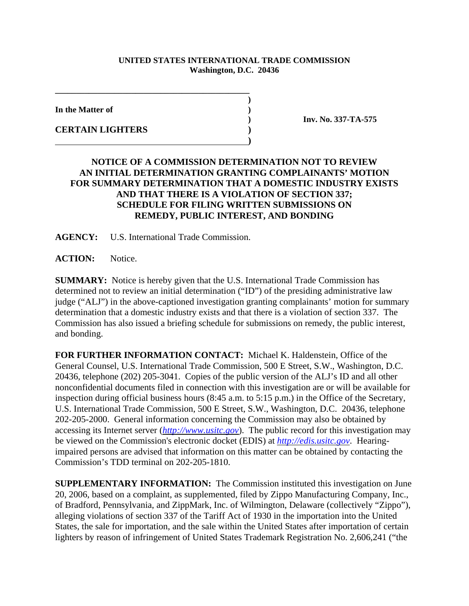## **UNITED STATES INTERNATIONAL TRADE COMMISSION Washington, D.C. 20436**

**)**

**In the Matter of )**

**CERTAIN LIGHTERS )**

**) Inv. No. 337-TA-575** 

## **NOTICE OF A COMMISSION DETERMINATION NOT TO REVIEW AN INITIAL DETERMINATION GRANTING COMPLAINANTS' MOTION FOR SUMMARY DETERMINATION THAT A DOMESTIC INDUSTRY EXISTS AND THAT THERE IS A VIOLATION OF SECTION 337; SCHEDULE FOR FILING WRITTEN SUBMISSIONS ON REMEDY, PUBLIC INTEREST, AND BONDING**

**AGENCY:** U.S. International Trade Commission.

**\_\_\_\_\_\_\_\_\_\_\_\_\_\_\_\_\_\_\_\_\_\_\_\_\_\_\_\_\_\_\_\_\_\_\_\_\_\_\_\_\_\_\_\_\_\_** 

 **)**

**ACTION:** Notice.

**SUMMARY:** Notice is hereby given that the U.S. International Trade Commission has determined not to review an initial determination ("ID") of the presiding administrative law judge ("ALJ") in the above-captioned investigation granting complainants' motion for summary determination that a domestic industry exists and that there is a violation of section 337. The Commission has also issued a briefing schedule for submissions on remedy, the public interest, and bonding.

**FOR FURTHER INFORMATION CONTACT:** Michael K. Haldenstein, Office of the General Counsel, U.S. International Trade Commission, 500 E Street, S.W., Washington, D.C. 20436, telephone (202) 205-3041. Copies of the public version of the ALJ's ID and all other nonconfidential documents filed in connection with this investigation are or will be available for inspection during official business hours (8:45 a.m. to 5:15 p.m.) in the Office of the Secretary, U.S. International Trade Commission, 500 E Street, S.W., Washington, D.C. 20436, telephone 202-205-2000. General information concerning the Commission may also be obtained by accessing its Internet server (*http://www.usitc.gov*). The public record for this investigation may be viewed on the Commission's electronic docket (EDIS) at *http://edis.usitc.gov*. Hearingimpaired persons are advised that information on this matter can be obtained by contacting the Commission's TDD terminal on 202-205-1810.

**SUPPLEMENTARY INFORMATION:** The Commission instituted this investigation on June 20, 2006, based on a complaint, as supplemented, filed by Zippo Manufacturing Company, Inc., of Bradford, Pennsylvania, and ZippMark, Inc. of Wilmington, Delaware (collectively "Zippo"), alleging violations of section 337 of the Tariff Act of 1930 in the importation into the United States, the sale for importation, and the sale within the United States after importation of certain lighters by reason of infringement of United States Trademark Registration No. 2,606,241 ("the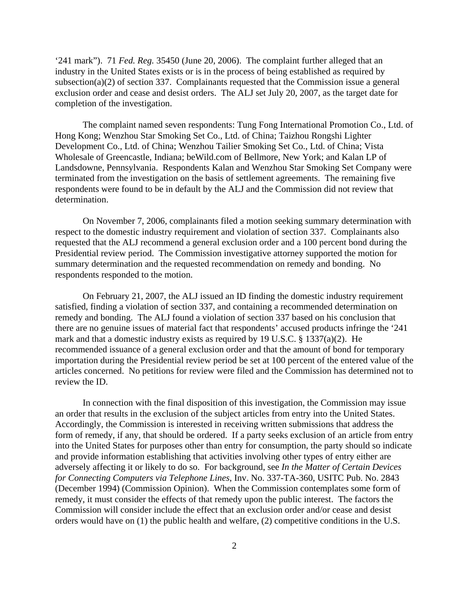'241 mark"). 71 *Fed. Reg.* 35450 (June 20, 2006). The complaint further alleged that an industry in the United States exists or is in the process of being established as required by subsection(a)(2) of section 337. Complainants requested that the Commission issue a general exclusion order and cease and desist orders. The ALJ set July 20, 2007, as the target date for completion of the investigation.

The complaint named seven respondents: Tung Fong International Promotion Co., Ltd. of Hong Kong; Wenzhou Star Smoking Set Co., Ltd. of China; Taizhou Rongshi Lighter Development Co., Ltd. of China; Wenzhou Tailier Smoking Set Co., Ltd. of China; Vista Wholesale of Greencastle, Indiana; beWild.com of Bellmore, New York; and Kalan LP of Landsdowne, Pennsylvania. Respondents Kalan and Wenzhou Star Smoking Set Company were terminated from the investigation on the basis of settlement agreements. The remaining five respondents were found to be in default by the ALJ and the Commission did not review that determination.

On November 7, 2006, complainants filed a motion seeking summary determination with respect to the domestic industry requirement and violation of section 337. Complainants also requested that the ALJ recommend a general exclusion order and a 100 percent bond during the Presidential review period. The Commission investigative attorney supported the motion for summary determination and the requested recommendation on remedy and bonding. No respondents responded to the motion.

On February 21, 2007, the ALJ issued an ID finding the domestic industry requirement satisfied, finding a violation of section 337, and containing a recommended determination on remedy and bonding. The ALJ found a violation of section 337 based on his conclusion that there are no genuine issues of material fact that respondents' accused products infringe the '241 mark and that a domestic industry exists as required by 19 U.S.C. § 1337(a)(2). He recommended issuance of a general exclusion order and that the amount of bond for temporary importation during the Presidential review period be set at 100 percent of the entered value of the articles concerned. No petitions for review were filed and the Commission has determined not to review the ID.

In connection with the final disposition of this investigation, the Commission may issue an order that results in the exclusion of the subject articles from entry into the United States. Accordingly, the Commission is interested in receiving written submissions that address the form of remedy, if any, that should be ordered. If a party seeks exclusion of an article from entry into the United States for purposes other than entry for consumption, the party should so indicate and provide information establishing that activities involving other types of entry either are adversely affecting it or likely to do so. For background, see *In the Matter of Certain Devices for Connecting Computers via Telephone Lines*, Inv. No. 337-TA-360, USITC Pub. No. 2843 (December 1994) (Commission Opinion). When the Commission contemplates some form of remedy, it must consider the effects of that remedy upon the public interest. The factors the Commission will consider include the effect that an exclusion order and/or cease and desist orders would have on (1) the public health and welfare, (2) competitive conditions in the U.S.